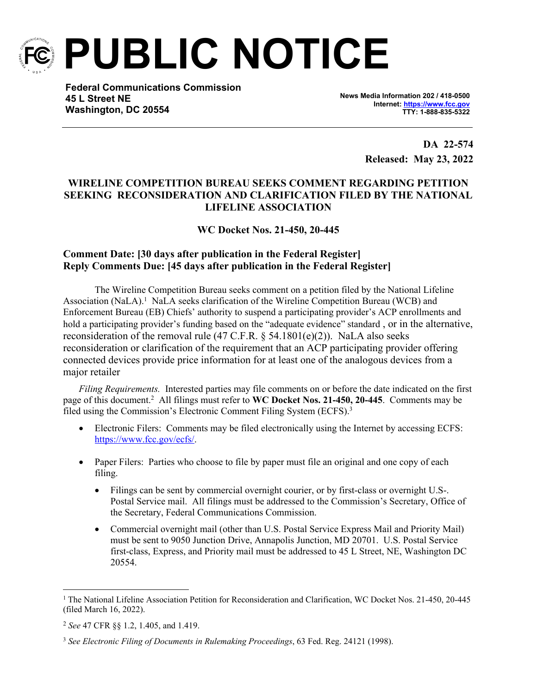

**PUBLIC NOTICE**

**Federal Communications Commission 45 L Street NE Washington, DC 20554**

**News Media Information 202 / 418-0500 Internet:<https://www.fcc.gov> TTY: 1-888-835-5322**

> **DA 22-574 Released: May 23, 2022**

## **WIRELINE COMPETITION BUREAU SEEKS COMMENT REGARDING PETITION SEEKING RECONSIDERATION AND CLARIFICATION FILED BY THE NATIONAL LIFELINE ASSOCIATION**

**WC Docket Nos. 21-450, 20-445**

## **Comment Date: [30 days after publication in the Federal Register] Reply Comments Due: [45 days after publication in the Federal Register]**

The Wireline Competition Bureau seeks comment on a petition filed by the National Lifeline Association (NaLA).<sup>1</sup> NaLA seeks clarification of the Wireline Competition Bureau (WCB) and Enforcement Bureau (EB) Chiefs' authority to suspend a participating provider's ACP enrollments and hold a participating provider's funding based on the "adequate evidence" standard, or in the alternative, reconsideration of the removal rule (47 C.F.R. § 54.1801(e)(2)). NaLA also seeks reconsideration or clarification of the requirement that an ACP participating provider offering connected devices provide price information for at least one of the analogous devices from a major retailer

*Filing Requirements.* Interested parties may file comments on or before the date indicated on the first page of this document.<sup>2</sup> All filings must refer to **WC Docket Nos. 21-450, 20-445**. Comments may be filed using the Commission's Electronic Comment Filing System (ECFS).<sup>3</sup>

- Electronic Filers: Comments may be filed electronically using the Internet by accessing ECFS: [https://www.fcc.gov/ecfs/.](https://www.fcc.gov/ecfs/)
- Paper Filers: Parties who choose to file by paper must file an original and one copy of each filing.
	- Filings can be sent by commercial overnight courier, or by first-class or overnight U.S-. Postal Service mail. All filings must be addressed to the Commission's Secretary, Office of the Secretary, Federal Communications Commission.
	- Commercial overnight mail (other than U.S. Postal Service Express Mail and Priority Mail) must be sent to 9050 Junction Drive, Annapolis Junction, MD 20701. U.S. Postal Service first-class, Express, and Priority mail must be addressed to 45 L Street, NE, Washington DC 20554.

<sup>1</sup> The National Lifeline Association Petition for Reconsideration and Clarification, WC Docket Nos. 21-450, 20-445 (filed March 16, 2022).

<sup>2</sup> *See* 47 CFR §§ 1.2, 1.405, and 1.419.

<sup>3</sup> *See Electronic Filing of Documents in Rulemaking Proceedings*, 63 Fed. Reg. 24121 (1998).